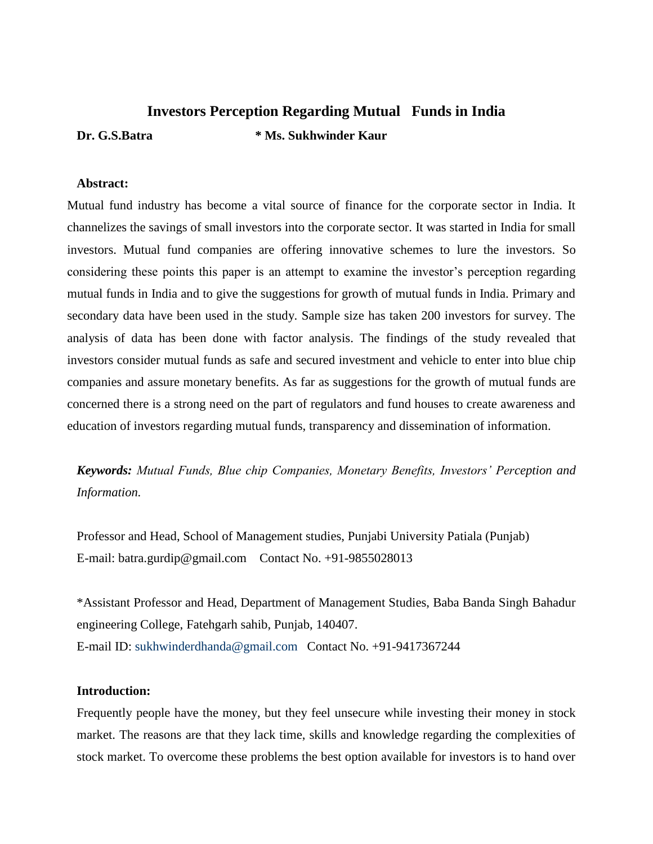# **Investors Perception Regarding Mutual Funds in India Dr. G.S.Batra \* Ms. Sukhwinder Kaur**

#### **Abstract:**

Mutual fund industry has become a vital source of finance for the corporate sector in India. It channelizes the savings of small investors into the corporate sector. It was started in India for small investors. Mutual fund companies are offering innovative schemes to lure the investors. So considering these points this paper is an attempt to examine the investor's perception regarding mutual funds in India and to give the suggestions for growth of mutual funds in India. Primary and secondary data have been used in the study. Sample size has taken 200 investors for survey. The analysis of data has been done with factor analysis. The findings of the study revealed that investors consider mutual funds as safe and secured investment and vehicle to enter into blue chip companies and assure monetary benefits. As far as suggestions for the growth of mutual funds are concerned there is a strong need on the part of regulators and fund houses to create awareness and education of investors regarding mutual funds, transparency and dissemination of information.

*Keywords: Mutual Funds, Blue chip Companies, Monetary Benefits, Investors' Perception and Information.*

Professor and Head, School of Management studies, Punjabi University Patiala (Punjab) E-mail: batra.gurdip@gmail.com Contact No. +91-9855028013

\*Assistant Professor and Head, Department of Management Studies, Baba Banda Singh Bahadur engineering College, Fatehgarh sahib, Punjab, 140407. E-mail ID: [sukhwinderdhanda@gmail.com](mailto:sukhwinderdhanda@gmail.com) Contact No. +91-9417367244

#### **Introduction:**

Frequently people have the money, but they feel unsecure while investing their money in stock market. The reasons are that they lack time, skills and knowledge regarding the complexities of stock market. To overcome these problems the best option available for investors is to hand over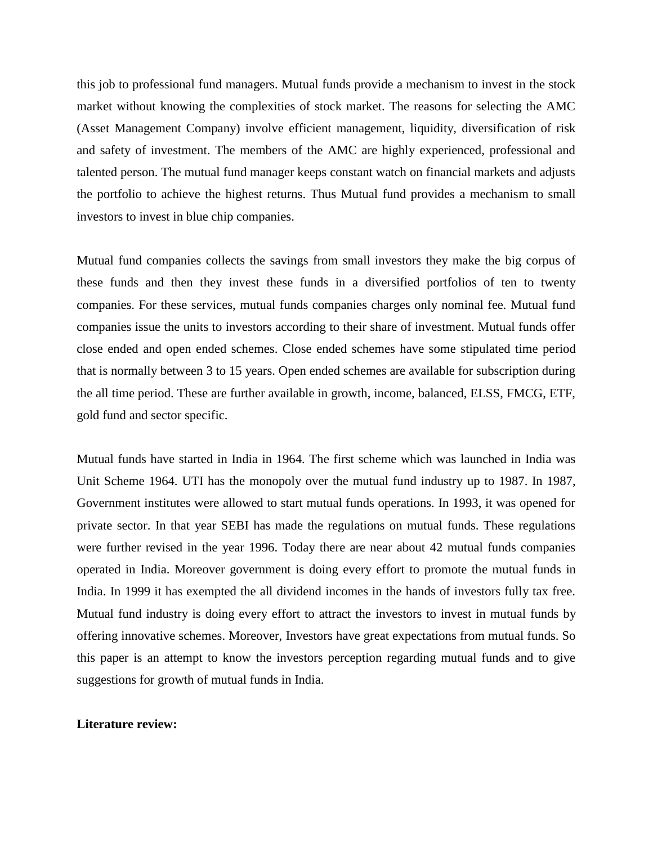this job to professional fund managers. Mutual funds provide a mechanism to invest in the stock market without knowing the complexities of stock market. The reasons for selecting the AMC (Asset Management Company) involve efficient management, liquidity, diversification of risk and safety of investment. The members of the AMC are highly experienced, professional and talented person. The mutual fund manager keeps constant watch on financial markets and adjusts the portfolio to achieve the highest returns. Thus Mutual fund provides a mechanism to small investors to invest in blue chip companies.

Mutual fund companies collects the savings from small investors they make the big corpus of these funds and then they invest these funds in a diversified portfolios of ten to twenty companies. For these services, mutual funds companies charges only nominal fee. Mutual fund companies issue the units to investors according to their share of investment. Mutual funds offer close ended and open ended schemes. Close ended schemes have some stipulated time period that is normally between 3 to 15 years. Open ended schemes are available for subscription during the all time period. These are further available in growth, income, balanced, ELSS, FMCG, ETF, gold fund and sector specific.

Mutual funds have started in India in 1964. The first scheme which was launched in India was Unit Scheme 1964. UTI has the monopoly over the mutual fund industry up to 1987. In 1987, Government institutes were allowed to start mutual funds operations. In 1993, it was opened for private sector. In that year SEBI has made the regulations on mutual funds. These regulations were further revised in the year 1996. Today there are near about 42 mutual funds companies operated in India. Moreover government is doing every effort to promote the mutual funds in India. In 1999 it has exempted the all dividend incomes in the hands of investors fully tax free. Mutual fund industry is doing every effort to attract the investors to invest in mutual funds by offering innovative schemes. Moreover, Investors have great expectations from mutual funds. So this paper is an attempt to know the investors perception regarding mutual funds and to give suggestions for growth of mutual funds in India.

#### **Literature review:**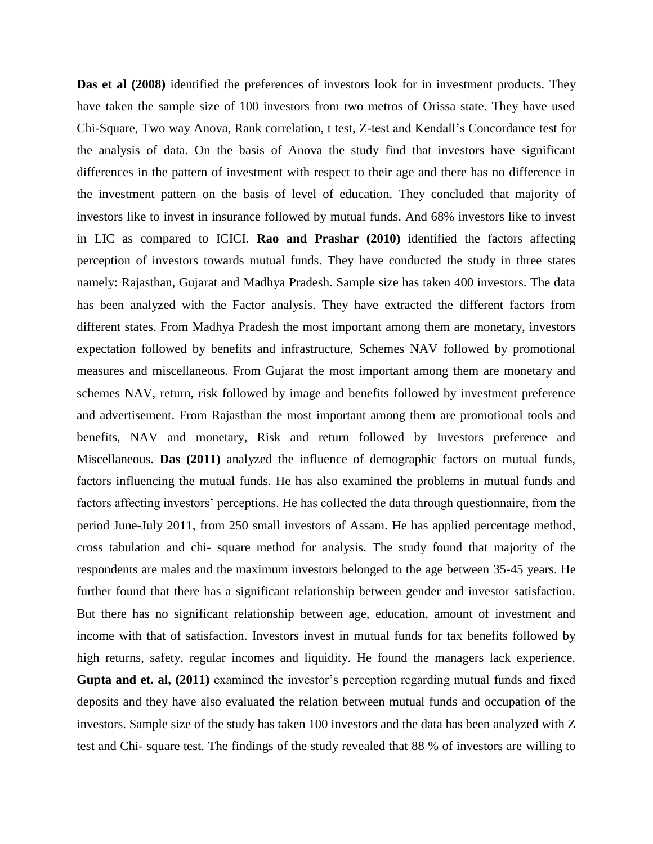**Das et al (2008)** identified the preferences of investors look for in investment products. They have taken the sample size of 100 investors from two metros of Orissa state. They have used Chi-Square, Two way Anova, Rank correlation, t test, Z-test and Kendall's Concordance test for the analysis of data. On the basis of Anova the study find that investors have significant differences in the pattern of investment with respect to their age and there has no difference in the investment pattern on the basis of level of education. They concluded that majority of investors like to invest in insurance followed by mutual funds. And 68% investors like to invest in LIC as compared to ICICI. **Rao and Prashar (2010)** identified the factors affecting perception of investors towards mutual funds. They have conducted the study in three states namely: Rajasthan, Gujarat and Madhya Pradesh. Sample size has taken 400 investors. The data has been analyzed with the Factor analysis. They have extracted the different factors from different states. From Madhya Pradesh the most important among them are monetary, investors expectation followed by benefits and infrastructure, Schemes NAV followed by promotional measures and miscellaneous. From Gujarat the most important among them are monetary and schemes NAV, return, risk followed by image and benefits followed by investment preference and advertisement. From Rajasthan the most important among them are promotional tools and benefits, NAV and monetary, Risk and return followed by Investors preference and Miscellaneous. **Das (2011)** analyzed the influence of demographic factors on mutual funds, factors influencing the mutual funds. He has also examined the problems in mutual funds and factors affecting investors' perceptions. He has collected the data through questionnaire, from the period June-July 2011, from 250 small investors of Assam. He has applied percentage method, cross tabulation and chi- square method for analysis. The study found that majority of the respondents are males and the maximum investors belonged to the age between 35-45 years. He further found that there has a significant relationship between gender and investor satisfaction. But there has no significant relationship between age, education, amount of investment and income with that of satisfaction. Investors invest in mutual funds for tax benefits followed by high returns, safety, regular incomes and liquidity. He found the managers lack experience. **Gupta and et. al, (2011)** examined the investor's perception regarding mutual funds and fixed deposits and they have also evaluated the relation between mutual funds and occupation of the investors. Sample size of the study has taken 100 investors and the data has been analyzed with Z test and Chi- square test. The findings of the study revealed that 88 % of investors are willing to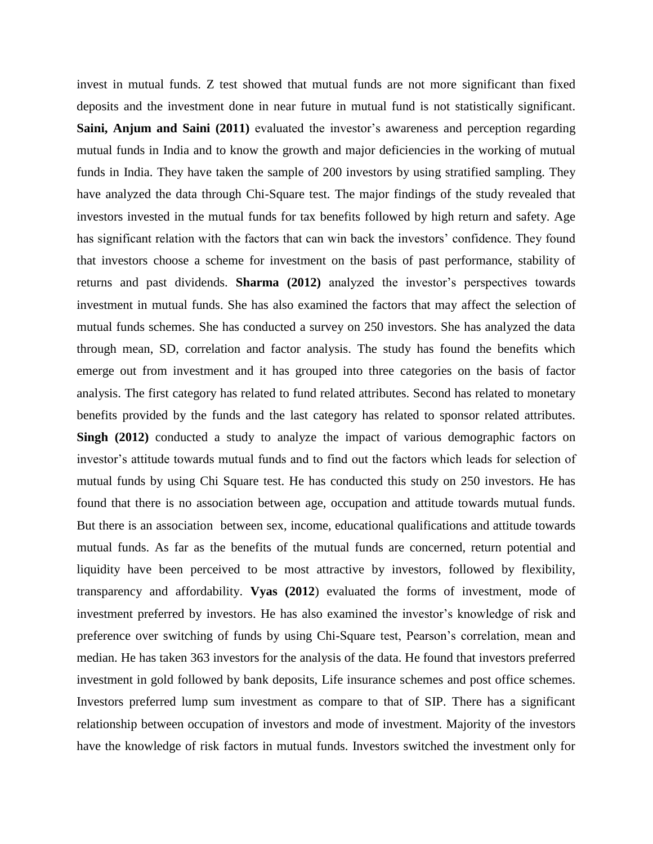invest in mutual funds. Z test showed that mutual funds are not more significant than fixed deposits and the investment done in near future in mutual fund is not statistically significant. **Saini, Anjum and Saini (2011)** evaluated the investor's awareness and perception regarding mutual funds in India and to know the growth and major deficiencies in the working of mutual funds in India. They have taken the sample of 200 investors by using stratified sampling. They have analyzed the data through Chi-Square test. The major findings of the study revealed that investors invested in the mutual funds for tax benefits followed by high return and safety. Age has significant relation with the factors that can win back the investors' confidence. They found that investors choose a scheme for investment on the basis of past performance, stability of returns and past dividends. **Sharma (2012)** analyzed the investor's perspectives towards investment in mutual funds. She has also examined the factors that may affect the selection of mutual funds schemes. She has conducted a survey on 250 investors. She has analyzed the data through mean, SD, correlation and factor analysis. The study has found the benefits which emerge out from investment and it has grouped into three categories on the basis of factor analysis. The first category has related to fund related attributes. Second has related to monetary benefits provided by the funds and the last category has related to sponsor related attributes. **Singh (2012)** conducted a study to analyze the impact of various demographic factors on investor's attitude towards mutual funds and to find out the factors which leads for selection of mutual funds by using Chi Square test. He has conducted this study on 250 investors. He has found that there is no association between age, occupation and attitude towards mutual funds. But there is an association between sex, income, educational qualifications and attitude towards mutual funds. As far as the benefits of the mutual funds are concerned, return potential and liquidity have been perceived to be most attractive by investors, followed by flexibility, transparency and affordability. **Vyas (2012**) evaluated the forms of investment, mode of investment preferred by investors. He has also examined the investor's knowledge of risk and preference over switching of funds by using Chi-Square test, Pearson's correlation, mean and median. He has taken 363 investors for the analysis of the data. He found that investors preferred investment in gold followed by bank deposits, Life insurance schemes and post office schemes. Investors preferred lump sum investment as compare to that of SIP. There has a significant relationship between occupation of investors and mode of investment. Majority of the investors have the knowledge of risk factors in mutual funds. Investors switched the investment only for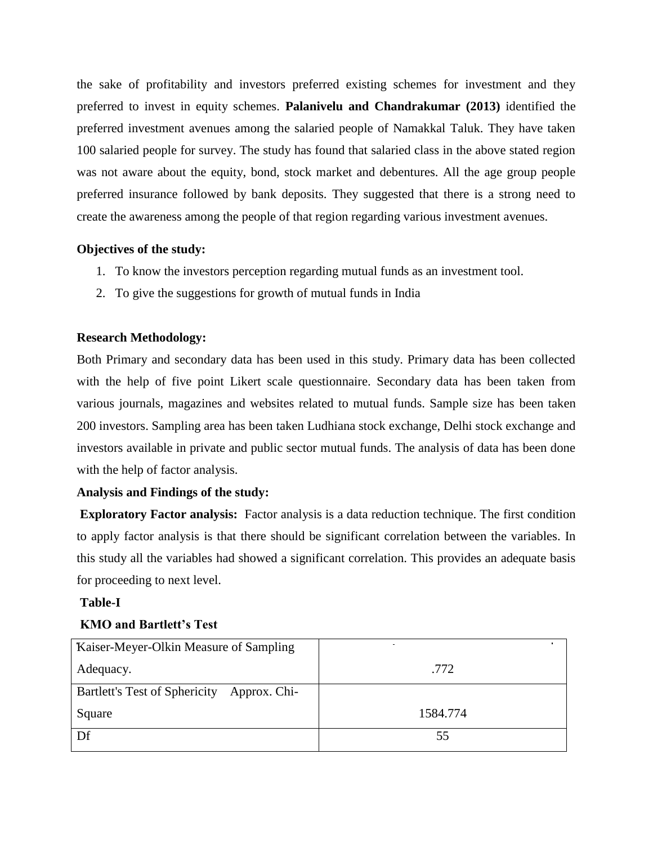the sake of profitability and investors preferred existing schemes for investment and they preferred to invest in equity schemes. **Palanivelu and Chandrakumar (2013)** identified the preferred investment avenues among the salaried people of Namakkal Taluk. They have taken 100 salaried people for survey. The study has found that salaried class in the above stated region was not aware about the equity, bond, stock market and debentures. All the age group people preferred insurance followed by bank deposits. They suggested that there is a strong need to create the awareness among the people of that region regarding various investment avenues.

# **Objectives of the study:**

- 1. To know the investors perception regarding mutual funds as an investment tool.
- 2. To give the suggestions for growth of mutual funds in India

## **Research Methodology:**

Both Primary and secondary data has been used in this study. Primary data has been collected with the help of five point Likert scale questionnaire. Secondary data has been taken from various journals, magazines and websites related to mutual funds. Sample size has been taken 200 investors. Sampling area has been taken Ludhiana stock exchange, Delhi stock exchange and investors available in private and public sector mutual funds. The analysis of data has been done with the help of factor analysis.

#### **Analysis and Findings of the study:**

**Exploratory Factor analysis:** Factor analysis is a data reduction technique. The first condition to apply factor analysis is that there should be significant correlation between the variables. In this study all the variables had showed a significant correlation. This provides an adequate basis for proceeding to next level.

#### **Table-I**

# **KMO and Bartlett's Test**

| Kaiser-Meyer-Olkin Measure of Sampling        |          |
|-----------------------------------------------|----------|
| Adequacy.                                     | .772     |
| Bartlett's Test of Sphericity<br>Approx. Chi- |          |
| Square                                        | 1584.774 |
| Df                                            | 55       |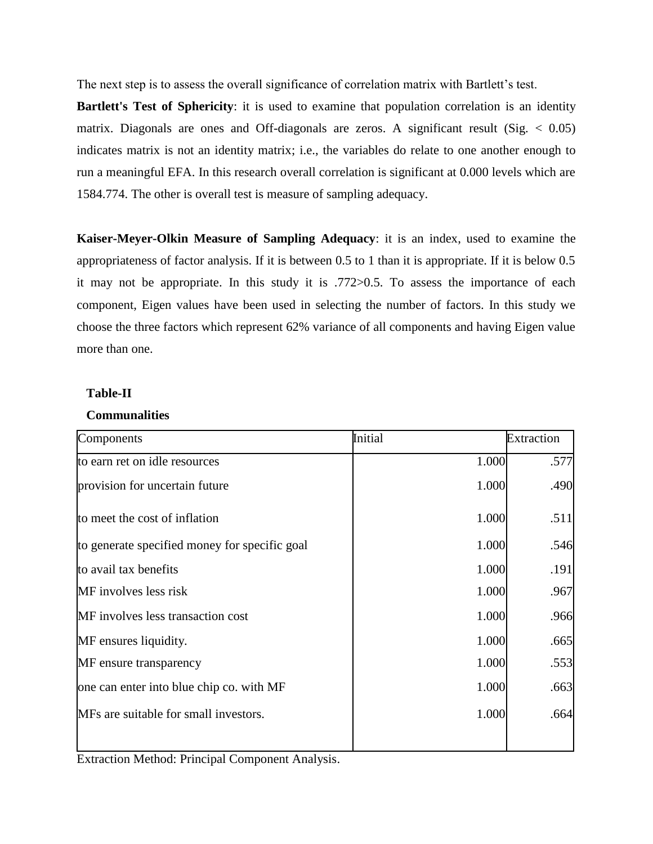The next step is to assess the overall significance of correlation matrix with Bartlett's test.

**Bartlett's Test of Sphericity**: it is used to examine that population correlation is an identity matrix. Diagonals are ones and Off-diagonals are zeros. A significant result (Sig.  $< 0.05$ ) indicates matrix is not an identity matrix; i.e., the variables do relate to one another enough to run a meaningful EFA. In this research overall correlation is significant at 0.000 levels which are 1584.774. The other is overall test is measure of sampling adequacy.

**Kaiser-Meyer-Olkin Measure of Sampling Adequacy**: it is an index, used to examine the appropriateness of factor analysis. If it is between 0.5 to 1 than it is appropriate. If it is below 0.5 it may not be appropriate. In this study it is .772>0.5. To assess the importance of each component, Eigen values have been used in selecting the number of factors. In this study we choose the three factors which represent 62% variance of all components and having Eigen value more than one.

## **Table-II**

## **Communalities**

| Components                                    | Initial | <b>Extraction</b> |
|-----------------------------------------------|---------|-------------------|
| to earn ret on idle resources                 | 1.000   | .577              |
| provision for uncertain future                | 1.000   | .490              |
| to meet the cost of inflation                 | 1.000   | .511              |
| to generate specified money for specific goal | 1.000   | .546              |
| to avail tax benefits                         | 1.000   | .191              |
| MF involves less risk                         | 1.000   | .967              |
| MF involves less transaction cost             | 1.000   | .966              |
| MF ensures liquidity.                         | 1.000   | .665              |
| MF ensure transparency                        | 1.000   | .553              |
| one can enter into blue chip co. with MF      | 1.000   | .663              |
| MFs are suitable for small investors.         | 1.000   | .664              |
|                                               |         |                   |

Extraction Method: Principal Component Analysis.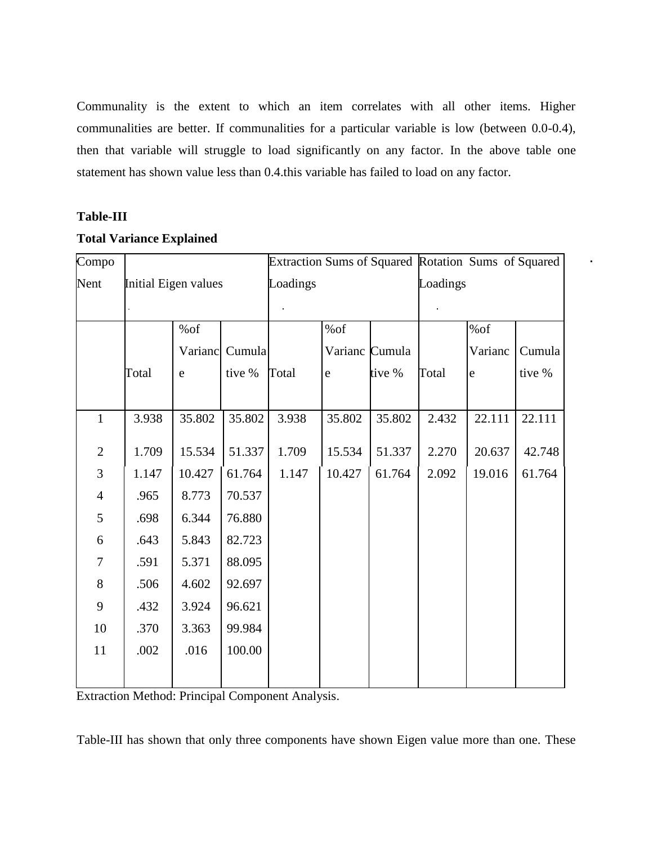Communality is the extent to which an item correlates with all other items. Higher communalities are better. If communalities for a particular variable is low (between 0.0-0.4), then that variable will struggle to load significantly on any factor. In the above table one statement has shown value less than 0.4.this variable has failed to load on any factor.

## **Table-III**

| Compo            |                      |         |        | Extraction Sums of Squared Rotation Sums of Squared |             |                |          |             |        |
|------------------|----------------------|---------|--------|-----------------------------------------------------|-------------|----------------|----------|-------------|--------|
| Nent             | Initial Eigen values |         |        | Loadings                                            |             |                | Loadings |             |        |
|                  |                      |         |        |                                                     |             |                |          |             |        |
|                  |                      | %of     |        |                                                     | %of         |                |          | %of         |        |
|                  |                      | Varianc | Cumula |                                                     |             | Varianc Cumula |          | Varianc     | Cumula |
|                  | Total                | e       | tive % | Total                                               | $\mathbf e$ | tive %         | Total    | $\mathbf e$ | tive % |
| $\mathbf{1}$     | 3.938                | 35.802  | 35.802 | 3.938                                               | 35.802      | 35.802         | 2.432    | 22.111      | 22.111 |
| $\mathbf{2}$     | 1.709                | 15.534  | 51.337 | 1.709                                               | 15.534      | 51.337         | 2.270    | 20.637      | 42.748 |
| 3                | 1.147                | 10.427  | 61.764 | 1.147                                               | 10.427      | 61.764         | 2.092    | 19.016      | 61.764 |
| $\overline{4}$   | .965                 | 8.773   | 70.537 |                                                     |             |                |          |             |        |
| $\mathfrak s$    | .698                 | 6.344   | 76.880 |                                                     |             |                |          |             |        |
| 6                | .643                 | 5.843   | 82.723 |                                                     |             |                |          |             |        |
| $\boldsymbol{7}$ | .591                 | 5.371   | 88.095 |                                                     |             |                |          |             |        |
| $8\,$            | .506                 | 4.602   | 92.697 |                                                     |             |                |          |             |        |
| 9                | .432                 | 3.924   | 96.621 |                                                     |             |                |          |             |        |
| 10               | .370                 | 3.363   | 99.984 |                                                     |             |                |          |             |        |
| 11               | .002                 | .016    | 100.00 |                                                     |             |                |          |             |        |
|                  |                      |         |        |                                                     |             |                |          |             |        |

# **Total Variance Explained**

Extraction Method: Principal Component Analysis.

Table-III has shown that only three components have shown Eigen value more than one. These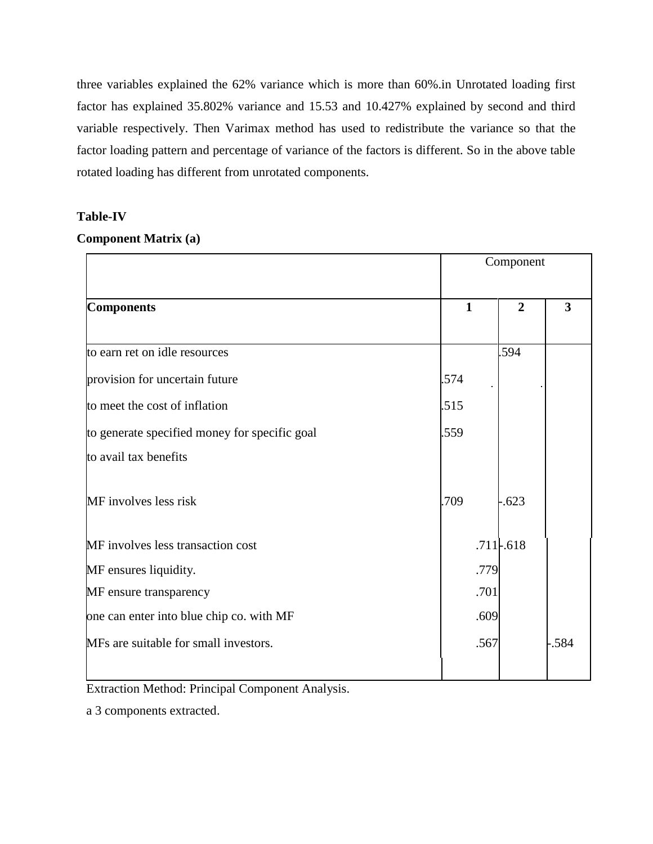three variables explained the 62% variance which is more than 60%.in Unrotated loading first factor has explained 35.802% variance and 15.53 and 10.427% explained by second and third variable respectively. Then Varimax method has used to redistribute the variance so that the factor loading pattern and percentage of variance of the factors is different. So in the above table rotated loading has different from unrotated components.

## **Table-IV**

## **Component Matrix (a)**

|                                               | Component    |                |      |
|-----------------------------------------------|--------------|----------------|------|
| <b>Components</b>                             | $\mathbf{1}$ | $\overline{2}$ | 3    |
| to earn ret on idle resources                 |              | .594           |      |
| provision for uncertain future                | 574          |                |      |
| to meet the cost of inflation                 | .515         |                |      |
| to generate specified money for specific goal | .559         |                |      |
| to avail tax benefits                         |              |                |      |
| MF involves less risk                         | .709         | $-.623$        |      |
| MF involves less transaction cost             |              | $.711-.618$    |      |
| MF ensures liquidity.                         | .779         |                |      |
| MF ensure transparency                        | .701         |                |      |
| one can enter into blue chip co. with MF      | .609         |                |      |
| MFs are suitable for small investors.         | .567         |                | .584 |

Extraction Method: Principal Component Analysis.

a 3 components extracted.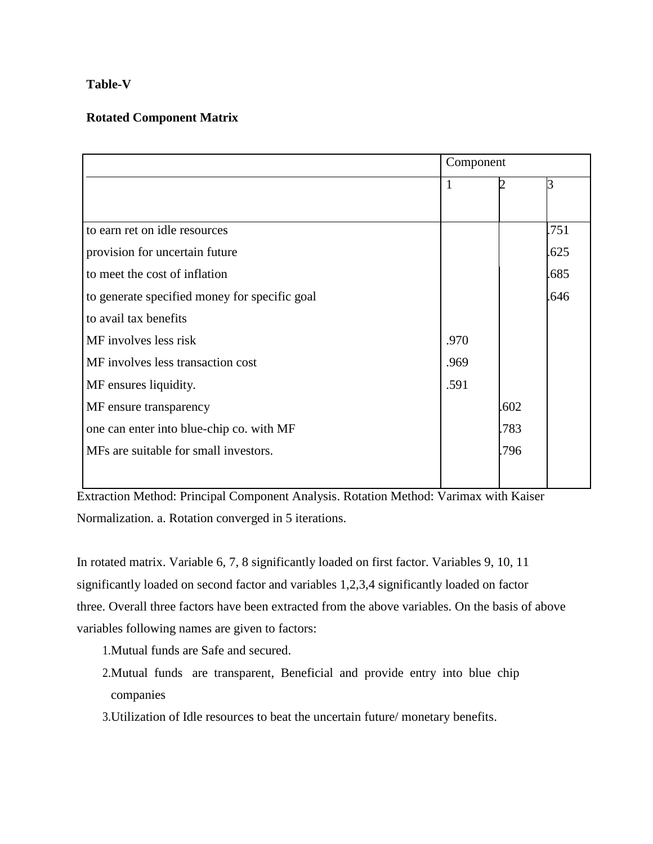# **Table-V**

# **Rotated Component Matrix**

|                                               | Component |      |      |
|-----------------------------------------------|-----------|------|------|
|                                               | 1         |      | R    |
|                                               |           |      |      |
| to earn ret on idle resources                 |           |      | .751 |
| provision for uncertain future                |           |      | .625 |
| to meet the cost of inflation                 |           |      | .685 |
| to generate specified money for specific goal |           |      | .646 |
| to avail tax benefits                         |           |      |      |
| MF involves less risk                         | .970      |      |      |
| MF involves less transaction cost             | .969      |      |      |
| MF ensures liquidity.                         | .591      |      |      |
| MF ensure transparency                        |           | .602 |      |
| one can enter into blue-chip co. with MF      |           | .783 |      |
| MFs are suitable for small investors.         |           | .796 |      |
|                                               |           |      |      |

Extraction Method: Principal Component Analysis. Rotation Method: Varimax with Kaiser Normalization. a. Rotation converged in 5 iterations.

In rotated matrix. Variable 6, 7, 8 significantly loaded on first factor. Variables 9, 10, 11 significantly loaded on second factor and variables 1,2,3,4 significantly loaded on factor three. Overall three factors have been extracted from the above variables. On the basis of above variables following names are given to factors:

1.Mutual funds are Safe and secured.

- 2.Mutual funds are transparent, Beneficial and provide entry into blue chip companies
- 3.Utilization of Idle resources to beat the uncertain future/ monetary benefits.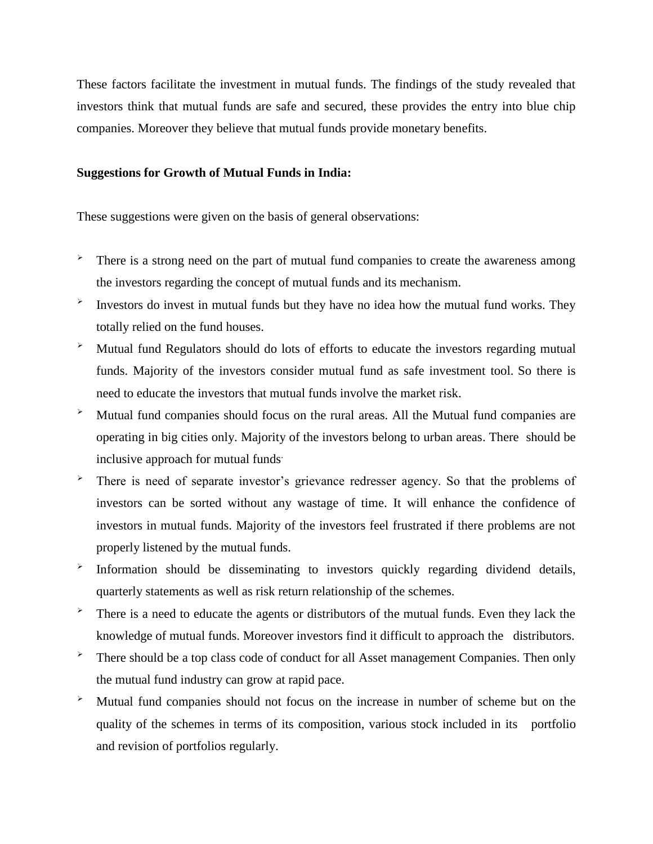These factors facilitate the investment in mutual funds. The findings of the study revealed that investors think that mutual funds are safe and secured, these provides the entry into blue chip companies. Moreover they believe that mutual funds provide monetary benefits.

#### **Suggestions for Growth of Mutual Funds in India:**

These suggestions were given on the basis of general observations:

- $\overrightarrow{P}$  There is a strong need on the part of mutual fund companies to create the awareness among the investors regarding the concept of mutual funds and its mechanism.
- $\blacktriangleright$ Investors do invest in mutual funds but they have no idea how the mutual fund works. They totally relied on the fund houses.
- Mutual fund Regulators should do lots of efforts to educate the investors regarding mutual funds. Majority of the investors consider mutual fund as safe investment tool. So there is need to educate the investors that mutual funds involve the market risk.
- $\sim$  Mutual fund companies should focus on the rural areas. All the Mutual fund companies are operating in big cities only. Majority of the investors belong to urban areas. There should be inclusive approach for mutual funds.
- There is need of separate investor's grievance redresser agency. So that the problems of investors can be sorted without any wastage of time. It will enhance the confidence of investors in mutual funds. Majority of the investors feel frustrated if there problems are not properly listened by the mutual funds.
- ➤ Information should be disseminating to investors quickly regarding dividend details, quarterly statements as well as risk return relationship of the schemes.
- There is a need to educate the agents or distributors of the mutual funds. Even they lack the knowledge of mutual funds. Moreover investors find it difficult to approach the distributors.
- $\overrightarrow{P}$  There should be a top class code of conduct for all Asset management Companies. Then only the mutual fund industry can grow at rapid pace.
- $\sim$  Mutual fund companies should not focus on the increase in number of scheme but on the quality of the schemes in terms of its composition, various stock included in its portfolio and revision of portfolios regularly.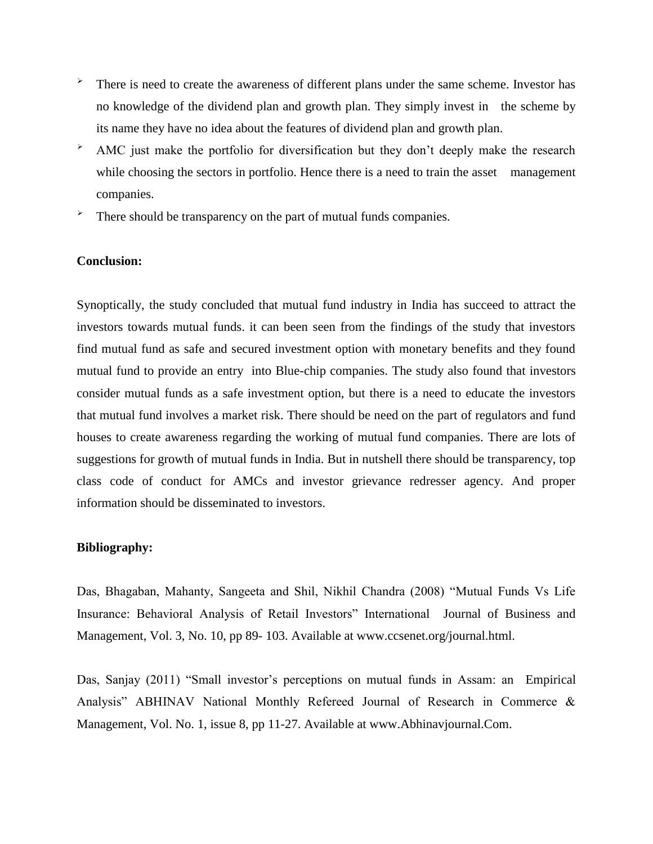- $\overrightarrow{P}$  There is need to create the awareness of different plans under the same scheme. Investor has no knowledge of the dividend plan and growth plan. They simply invest in the scheme by its name they have no idea about the features of dividend plan and growth plan.
- $\rightarrow$  AMC just make the portfolio for diversification but they don't deeply make the research while choosing the sectors in portfolio. Hence there is a need to train the asset management companies.
- > There should be transparency on the part of mutual funds companies.

#### **Conclusion:**

Synoptically, the study concluded that mutual fund industry in India has succeed to attract the investors towards mutual funds. it can been seen from the findings of the study that investors find mutual fund as safe and secured investment option with monetary benefits and they found mutual fund to provide an entry into Blue-chip companies. The study also found that investors consider mutual funds as a safe investment option, but there is a need to educate the investors that mutual fund involves a market risk. There should be need on the part of regulators and fund houses to create awareness regarding the working of mutual fund companies. There are lots of suggestions for growth of mutual funds in India. But in nutshell there should be transparency, top class code of conduct for AMCs and investor grievance redresser agency. And proper information should be disseminated to investors.

#### **Bibliography:**

Das, Bhagaban, Mahanty, Sangeeta and Shil, Nikhil Chandra (2008) "Mutual Funds Vs Life Insurance: Behavioral Analysis of Retail Investors" International Journal of Business and Management, Vol. 3, No. 10, pp 89- 103. Available at www.ccsenet.org/journal.html.

Das, Sanjay (2011) "Small investor's perceptions on mutual funds in Assam: an Empirical Analysis" ABHINAV National Monthly Refereed Journal of Research in Commerce & Management, Vol. No. 1, issue 8, pp 11-27. Available at www.Abhinavjournal.Com.